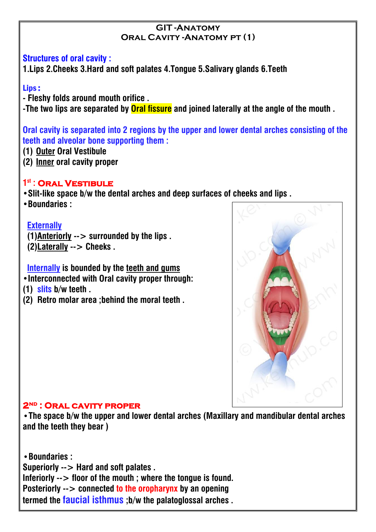#### **GIT -Anatomy Oral Cavity -Anatomy pt (1)**

#### **Structures of oral cavity :**

**1.Lips 2.Cheeks 3.Hard and soft palates 4.Tongue 5.Salivary glands 6.Teeth**

## Lips :

**- Fleshy folds around mouth orifice .**

**-The two lips are separated by Oral fissure and joined laterally at the angle of the mouth .**

**Oral cavity is separated into 2 regions by the upper and lower dental arches consisting of the teeth and alveolar bone supporting them :**

- **(1) Outer Oral Vestibule**
- **(2) Inner oral cavity proper**

# **1 st : Oral Vestibule**

**•Slit-like space b/w the dental arches and deep surfaces of cheeks and lips .**

**•Boundaries :**

## **Externally**

**(1)Anteriorly --> surrounded by the lips . (2)Laterally --> Cheeks .**

**Internally is bounded by the teeth and gums**

**•Interconnected with Oral cavity proper through:**

- **(1) slits b/w teeth .**
- **(2) Retro molar area ;behind the moral teeth .**



#### **2nd : Oral cavity proper**

**•The space b/w the upper and lower dental arches (Maxillary and mandibular dental arches and the teeth they bear)**

**•Boundaries : Superiorly --> Hard and soft palates . Inferiorly --> floor of the mouth ; where the tongue is found. Posteriorly --> connected to theoropharynx by an opening termed the faucial isthmus ;b/w the palatoglossal arches .**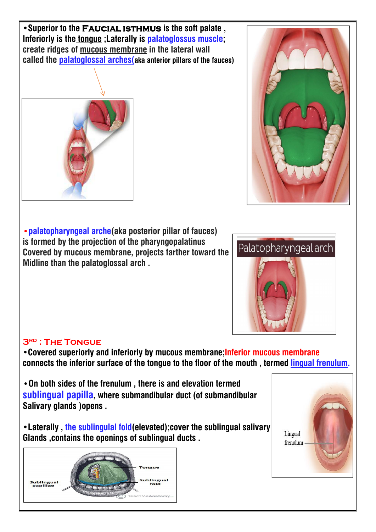**•Superior to the Faucial isthmus is the softpalate , Inferiorly is the tongue ;Laterally is palatoglossus muscle; create ridges of mucous membrane in the lateral wall called the palatoglossal arches(aka anterior pillars of the fauces)**



**•palatopharyngeal arche(aka posterior pillar of fauces)** *f* **is formed by the projection of the pharyngopalatinus<br>
<b>Fovered** by mucous membrane, projects farther toward the Palatopharyngeal arch **Covered by mucous membrane, projects farther toward the Midline than the palatoglossal arch .**



## **3rd : The Tongue**

**•Covered superiorly and inferiorly by mucous membrane;Inferior mucous membrane connects the inferior surface of the tongue to the floor of the mouth , termed lingual frenulum.**

**•On both sides of the frenulum , there is and elevation termed sublingual papilla, where submandibular duct (of submandibular Salivary glands )opens .**

**•Laterally , the sublingulal fold(elevated);cover the sublingual salivary Glands ,contains the openings of sublingual ducts .**



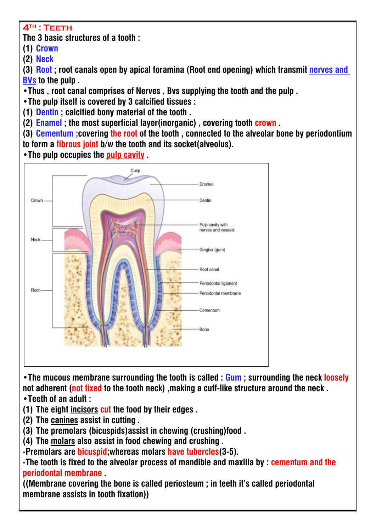## **4th : Teeth**

**The 3 basic structures of a tooth :**

**(1) Crown**

**(2) Neck**

**(3) Root ; root canals open by apical foramina (Root end opening) which transmit nerves and BVs to the pulp .**

**•Thus , root canal comprises of Nerves , Bvs supplying the tooth and the pulp .**

**•The pulp itself is covered by 3 calcified tissues :**

**(1) Dentin ; calcified bony material of the tooth .**

**(2) Enamel ; the most superficial layer(inorganic) , covering tooth crown .**

**(3) Cementum ;covering the root of the tooth , connected to the alveolar bone by periodontium to form a fibrous joint b/w the tooth and its socket(alveolus).**

**•The pulp occupies the pulp cavity .**



**•The mucous membrane surrounding the tooth is called :Gum ; surrounding the neck loosely not adherent (not fixed to the tooth neck) ,making a cuff-like structure around the neck . •Teeth of an adult :**

**(1) The eight incisors cut the food by theiredges .**

**(2) The canines assist in cutting .**

**(3) The premolars (bicuspids)assist in chewing (crushing)food .**

**(4) The molars also assist in food chewing and crushing .**

**-Premolars are bicuspid;whereas molars have tubercles(3-5).**

**-The tooth is fixed to the alveolar process of mandible and maxilla by : cementum and the periodontal membrane .**

**((Membrane covering the bone is called periosteum ; in teeth it's called periodontal membrane assists in tooth fixation))**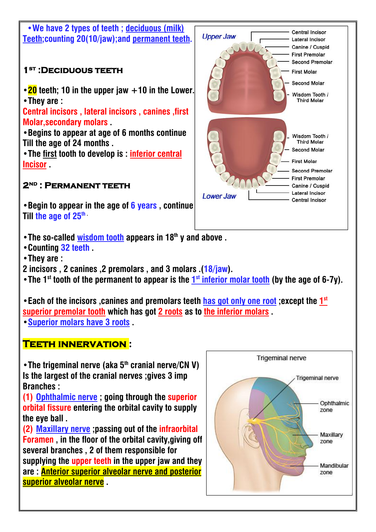

**•Begin to appear in the age of 6 years , continue Till the age of 25 th .**

- **•The so-called wisdom tooth appears in 18 th y and above .**
- **•Counting 32 teeth .**
- **•They are :**

**2 incisors , 2 canines ,2 premolars ,and 3 molars .(18/jaw).**

• The 1<sup>st</sup> tooth of the permanent to appear is the  $1<sup>st</sup>$  inferior molar tooth (by the age of 6-7y).  $\|\cdot\|$ 

**•Each of the incisors ,canines and premolars teeth has got only one root ;except the 1 st superior premolar tooth which has got 2 roots as to the inferior molars . •Superior molars have 3 roots .**

# **Teeth innervation :**

**•The trigeminal nerve (aka 5 th cranial nerve/CN V) Is the largest of the cranial nerves ;gives 3 imp Branches :**

**(1) Ophthalmic nerve ; going through the superior orbital fissure entering the orbital cavity to supply the eye ball .**

**(2) Maxillary nerve ;passing out of the infraorbital Foramen , in the floor of the orbital cavity,giving off several branches , 2 of them responsible for supplying the upper teeth in the upper jaw and they are : Anterior superior alveolar nerve and posterior superior alveolar nerve .**



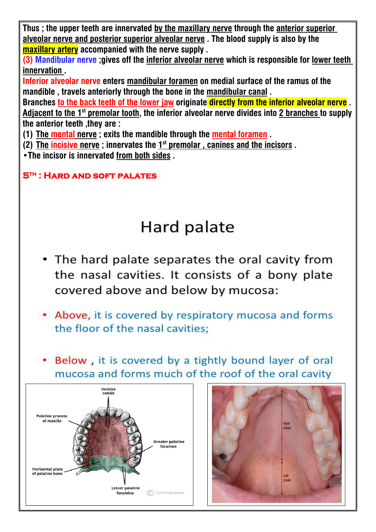**Thus ; the upper teeth are innervated by the maxillary nerve through the anterior superior alveolar nerve and posterior superior alveolar nerve . The blood supply is also by the maxillary artery accompanied with the nerve supply .**

**(3) Mandibular nerve ;gives off the inferior alveolar nerve which is responsible for lower teeth innervation .**

**Inferior alveolar nerve enters mandibular foramen on medial surface of the ramus of the mandible , travels anteriorly through the bone in the mandibular canal .**

**Branches to the back teeth of the lower jaw originate directly from the inferior alveolar nerve . Adjacent to the 1 st premolar tooth, the inferior alveolar nerve divides into 2 branches to supply the anterior teeth ,they are :**

**(1) The mental nerve ; exits the mandible through the mental foramen .**

**(2) The incisive** nerve ; innervates the  $1^\text{st}$  premolar , canines and the incisors .  $\|\cdot\|$ 

**•The incisor is innervated from both sides .**

# **5th : Hard and soft palates**

# Hard palate

- The hard palate separates the oral cavity from the nasal cavities. It consists of a bony plate covered above and below by mucosa:
- Above, it is covered by respiratory mucosa and forms the floor of the nasal cavities:
- Below, it is covered by a tightly bound layer of oral mucosa and forms much of the roof of the oral cavity



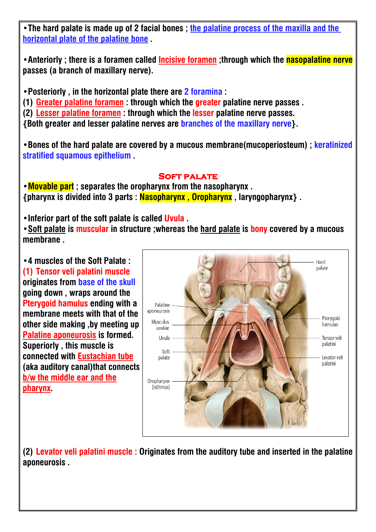**•The hard palate is made up of 2 facial bones ; the palatine process of the maxilla and the horizontal plate of the palatine bone .**

**•Anteriorly ; there is a foramen called Incisive foramen ;through which the nasopalatine nerve passes** (a branch of maxillary nerve).

**•Posteriorly , in the horizontal plate there are 2 foramina :**

**(1) Greater palatine foramen : through which the greater palatine nerve passes .**

**(2) Lesser palatine foramen : through which the lesserpalatine nerve passes.**

**{Both greater and lesser palatine nerves are branches of the maxillary nerve}.**

**•Bones of the hard palate are covered by a mucous membrane(mucoperiosteum) ; keratinized stratified squamous epithelium .**

# **Soft palate**

**•Movable part ; separates the oropharynx from the nasopharynx . {pharynx is divided into 3 parts : Nasopharynx , Oropharynx , laryngopharynx} .**

**•Inferior part of the soft palate is called Uvula .**

**•Soft palate is muscular in structure ;whereas the hard palate is bony covered by a mucous membrane .**

**•4 muscles of the Soft Palate : (1) Tensor veli palatini muscle originates from base of the skull going down , wraps around the Pterygoid hamulus ending with a**<br>**mambiguon meete with that of the supposeurosis membrane meets with that of the other side making ,by meeting up Palatine aponeurosis is formed. Superiorly , this muscle is connected with Eustachian tube (aka auditory canal)that connects b/w the middle ear and the pharynx.**



**(2) Levator veli palatini muscle : Originates from the auditory tube and inserted in the palatine aponeurosis .**